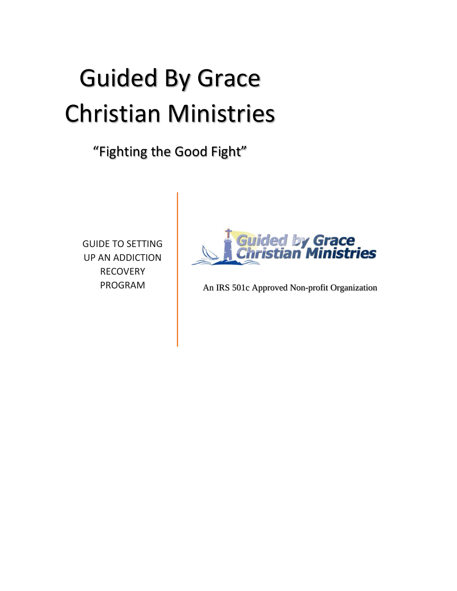# Guided By Grace Christian Ministries

# "Fighting the Good Fight"

GUIDE TO SETTING UP AN ADDICTION **RECOVERY** PROGRAM



An IRS 501c Approved Non-profit Organization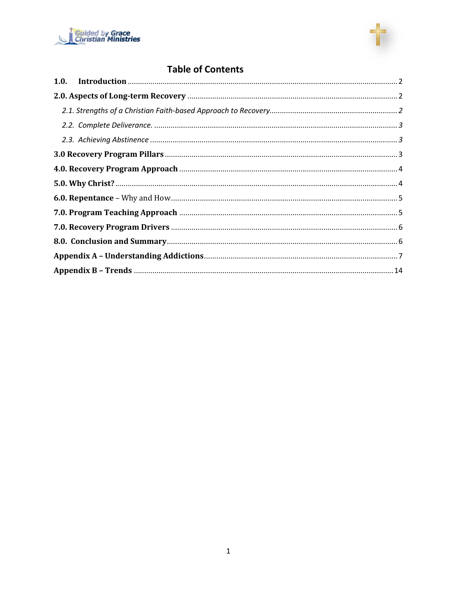



# **Table of Contents**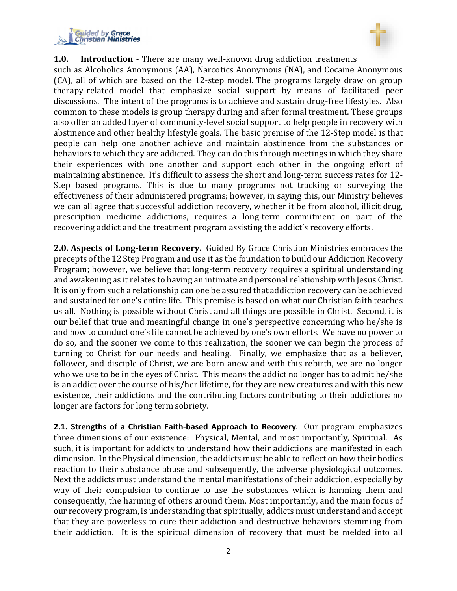



#### <span id="page-2-0"></span>**1.0. Introduction -** There are many well-known drug addiction treatments

such as Alcoholics Anonymous (AA), Narcotics Anonymous (NA), and Cocaine Anonymous (CA), all of which are based on the 12-step model. The programs largely draw on group therapy-related model that emphasize social support by means of facilitated peer discussions. The intent of the programs is to achieve and sustain drug-free lifestyles. Also common to these models is group therapy during and after formal treatment. These groups also offer an added layer of community-level social support to help people in recovery with abstinence and other healthy lifestyle goals. The basic premise of the 12-Step model is that people can help one another achieve and maintain abstinence from the substances or behaviors to which they are addicted. They can do this through meetings in which they share their experiences with one another and support each other in the ongoing effort of maintaining abstinence. It's difficult to assess the short and long-term success rates for 12- Step based programs. This is due to many programs not tracking or surveying the effectiveness of their administered programs; however, in saying this, our Ministry believes we can all agree that successful addiction recovery, whether it be from alcohol, illicit drug, prescription medicine addictions, requires a long-term commitment on part of the recovering addict and the treatment program assisting the addict's recovery efforts.

<span id="page-2-1"></span>**2.0. Aspects of Long-term Recovery.** Guided By Grace Christian Ministries embraces the precepts of the 12 Step Program and use it as the foundation to build our Addiction Recovery Program; however, we believe that long-term recovery requires a spiritual understanding and awakening as it relates to having an intimate and personal relationship with Jesus Christ. It is only from such a relationship can one be assured that addiction recovery can be achieved and sustained for one's entire life. This premise is based on what our Christian faith teaches us all. Nothing is possible without Christ and all things are possible in Christ. Second, it is our belief that true and meaningful change in one's perspective concerning who he/she is and how to conduct one's life cannot be achieved by one's own efforts. We have no power to do so, and the sooner we come to this realization, the sooner we can begin the process of turning to Christ for our needs and healing. Finally, we emphasize that as a believer, follower, and disciple of Christ, we are born anew and with this rebirth, we are no longer who we use to be in the eyes of Christ. This means the addict no longer has to admit he/she is an addict over the course of his/her lifetime, for they are new creatures and with this new existence, their addictions and the contributing factors contributing to their addictions no longer are factors for long term sobriety.

<span id="page-2-2"></span>**2.1. Strengths of a Christian Faith-based Approach to Recovery**. Our program emphasizes three dimensions of our existence: Physical, Mental, and most importantly, Spiritual. As such, it is important for addicts to understand how their addictions are manifested in each dimension. In the Physical dimension, the addicts must be able to reflect on how their bodies reaction to their substance abuse and subsequently, the adverse physiological outcomes. Next the addicts must understand the mental manifestations of their addiction, especially by way of their compulsion to continue to use the substances which is harming them and consequently, the harming of others around them. Most importantly, and the main focus of our recovery program, is understanding that spiritually, addicts must understand and accept that they are powerless to cure their addiction and destructive behaviors stemming from their addiction. It is the spiritual dimension of recovery that must be melded into all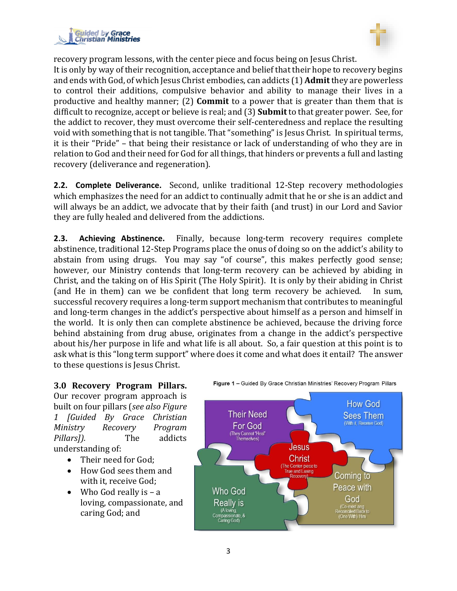



recovery program lessons, with the center piece and focus being on Jesus Christ. It is only by way of their recognition, acceptance and belief that their hope to recovery begins and ends with God, of which Jesus Christ embodies, can addicts (1) **Admit**they are powerless to control their additions, compulsive behavior and ability to manage their lives in a productive and healthy manner; (2) **Commit** to a power that is greater than them that is difficult to recognize, accept or believe is real; and (3) **Submit** to that greater power. See, for the addict to recover, they must overcome their self-centeredness and replace the resulting void with something that is not tangible. That "something" is Jesus Christ. In spiritual terms, it is their "Pride" – that being their resistance or lack of understanding of who they are in relation to God and their need for God for all things, that hinders or prevents a full and lasting recovery (deliverance and regeneration).

<span id="page-3-0"></span>**2.2. Complete Deliverance.** Second, unlike traditional 12-Step recovery methodologies which emphasizes the need for an addict to continually admit that he or she is an addict and will always be an addict, we advocate that by their faith (and trust) in our Lord and Savior they are fully healed and delivered from the addictions.

<span id="page-3-1"></span>**2.3. Achieving Abstinence.** Finally, because long-term recovery requires complete abstinence, traditional 12-Step Programs place the onus of doing so on the addict's ability to abstain from using drugs. You may say "of course", this makes perfectly good sense; however, our Ministry contends that long-term recovery can be achieved by abiding in Christ, and the taking on of His Spirit (The Holy Spirit). It is only by their abiding in Christ (and He in them) can we be confident that long term recovery be achieved. In sum, successful recovery requires a long-term support mechanism that contributes to meaningful and long-term changes in the addict's perspective about himself as a person and himself in the world. It is only then can complete abstinence be achieved, because the driving force behind abstaining from drug abuse, originates from a change in the addict's perspective about his/her purpose in life and what life is all about. So, a fair question at this point is to ask what is this "long term support" where does it come and what does it entail? The answer to these questions is Jesus Christ.

<span id="page-3-2"></span>**3.0 Recovery Program Pillars.** Our recover program approach is built on four pillars (*see also Figure 1 [Guided By Grace Christian Ministry Recovery Program Pillars]).* The addicts understanding of:

- Their need for God;
- How God sees them and with it, receive God;
- Who God really is  $a$ loving, compassionate, and caring God; and



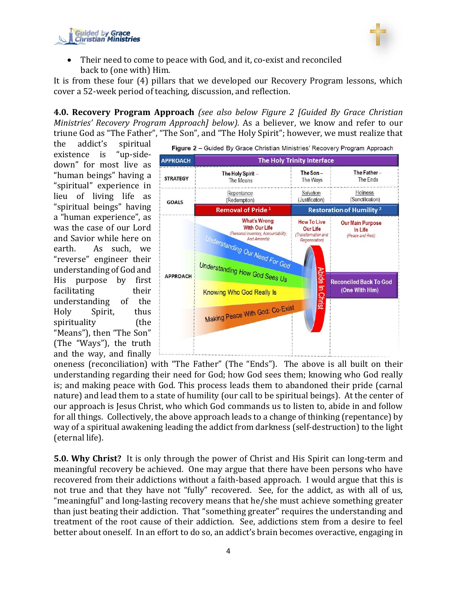



Their need to come to peace with God, and it, co-exist and reconciled back to (one with) Him.

It is from these four (4) pillars that we developed our Recovery Program lessons, which cover a 52-week period of teaching, discussion, and reflection.

<span id="page-4-0"></span>**4.0. Recovery Program Approach** *(see also below Figure 2 [Guided By Grace Christian Ministries' Recovery Program Approach] below).* As a believer, we know and refer to our triune God as "The Father", "The Son", and "The Holy Spirit"; however, we must realize that

the addict's spiritual existence is "up-sidedown" for most live as "human beings" having a "spiritual" experience in lieu of living life as "spiritual beings" having a "human experience", as was the case of our Lord and Savior while here on earth. As such, we "reverse" engineer their understanding of God and His purpose by first facilitating their understanding of the Holy Spirit, thus spirituality (the "Means"), then "The Son" (The "Ways"), the truth and the way, and finally



oneness (reconciliation) with "The Father" (The "Ends"). The above is all built on their understanding regarding their need for God; how God sees them; knowing who God really is; and making peace with God. This process leads them to abandoned their pride (carnal nature) and lead them to a state of humility (our call to be spiritual beings). At the center of our approach is Jesus Christ, who which God commands us to listen to, abide in and follow for all things. Collectively, the above approach leads to a change of thinking (repentance) by way of a spiritual awakening leading the addict from darkness (self-destruction) to the light (eternal life).

<span id="page-4-1"></span>**5.0. Why Christ?** It is only through the power of Christ and His Spirit can long-term and meaningful recovery be achieved. One may argue that there have been persons who have recovered from their addictions without a faith-based approach. I would argue that this is not true and that they have not "fully" recovered. See, for the addict, as with all of us, "meaningful" and long-lasting recovery means that he/she must achieve something greater than just beating their addiction. That "something greater" requires the understanding and treatment of the root cause of their addiction. See, addictions stem from a desire to feel better about oneself. In an effort to do so, an addict's brain becomes overactive, engaging in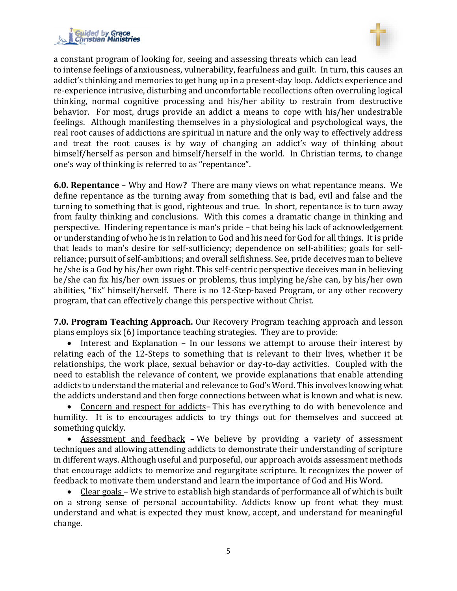



a constant program of looking for, seeing and assessing threats which can lead to intense feelings of anxiousness, vulnerability, fearfulness and guilt. In turn, this causes an addict's thinking and memories to get hung up in a present-day loop. Addicts experience and re-experience intrusive, disturbing and uncomfortable recollections often overruling logical thinking, normal cognitive processing and his/her ability to restrain from destructive behavior. For most, drugs provide an addict a means to cope with his/her undesirable feelings. Although manifesting themselves in a physiological and psychological ways, the real root causes of addictions are spiritual in nature and the only way to effectively address and treat the root causes is by way of changing an addict's way of thinking about himself/herself as person and himself/herself in the world. In Christian terms, to change one's way of thinking is referred to as "repentance".

<span id="page-5-0"></span>**6.0. Repentance** – Why and How**?** There are many views on what repentance means. We define repentance as the turning away from something that is bad, evil and false and the turning to something that is good, righteous and true. In short, repentance is to turn away from faulty thinking and conclusions. With this comes a dramatic change in thinking and perspective. Hindering repentance is man's pride – that being his lack of acknowledgement or understanding of who he is in relation to God and his need for God for all things. It is pride that leads to man's desire for self-sufficiency; dependence on self-abilities; goals for selfreliance; pursuit of self-ambitions; and overall selfishness. See, pride deceives man to believe he/she is a God by his/her own right. This self-centric perspective deceives man in believing he/she can fix his/her own issues or problems, thus implying he/she can, by his/her own abilities, "fix" himself/herself. There is no 12-Step-based Program, or any other recovery program, that can effectively change this perspective without Christ.

<span id="page-5-1"></span>**7.0. Program Teaching Approach.** Our Recovery Program teaching approach and lesson plans employs six (6) importance teaching strategies. They are to provide:

• Interest and Explanation – In our lessons we attempt to arouse their interest by relating each of the 12-Steps to something that is relevant to their lives, whether it be relationships, the work place, sexual behavior or day-to-day activities. Coupled with the need to establish the relevance of content, we provide explanations that enable attending addicts to understand the material and relevance to God's Word. This involves knowing what the addicts understand and then forge connections between what is known and what is new.

• Concern and respect for addicts**–** This has everything to do with benevolence and humility. It is to encourages addicts to try things out for themselves and succeed at something quickly.

• Assessment and feedback **–** We believe by providing a variety of assessment techniques and allowing attending addicts to demonstrate their understanding of scripture in different ways. Although useful and purposeful, our approach avoids assessment methods that encourage addicts to memorize and regurgitate scripture. It recognizes the power of feedback to motivate them understand and learn the importance of God and His Word.

• Clear goals **–** We strive to establish high standards of performance all of which is built on a strong sense of personal accountability. Addicts know up front what they must understand and what is expected they must know, accept, and understand for meaningful change.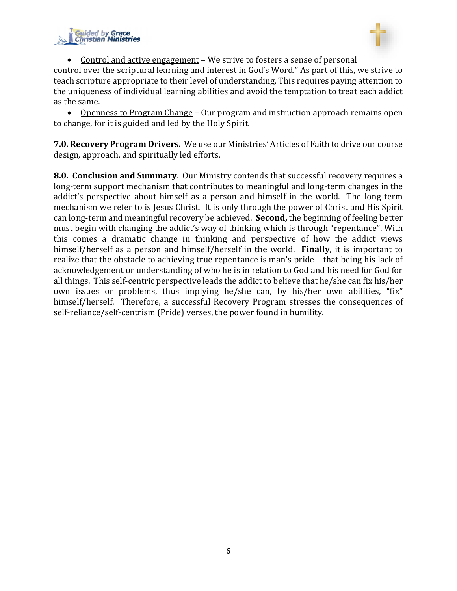



• Control and active engagement – We strive to fosters a sense of personal

control over the scriptural learning and interest in God's Word." As part of this, we strive to teach scripture appropriate to their level of understanding. This requires paying attention to the uniqueness of individual learning abilities and avoid the temptation to treat each addict as the same.

• Openness to Program Change **–** Our program and instruction approach remains open to change, for it is guided and led by the Holy Spirit.

<span id="page-6-0"></span>**7.0. Recovery Program Drivers.** We use our Ministries' Articles of Faith to drive our course design, approach, and spiritually led efforts.

<span id="page-6-1"></span>**8.0. Conclusion and Summary**. Our Ministry contends that successful recovery requires a long-term support mechanism that contributes to meaningful and long-term changes in the addict's perspective about himself as a person and himself in the world. The long-term mechanism we refer to is Jesus Christ. It is only through the power of Christ and His Spirit can long-term and meaningful recovery be achieved. **Second,** the beginning of feeling better must begin with changing the addict's way of thinking which is through "repentance". With this comes a dramatic change in thinking and perspective of how the addict views himself/herself as a person and himself/herself in the world. **Finally,** it is important to realize that the obstacle to achieving true repentance is man's pride – that being his lack of acknowledgement or understanding of who he is in relation to God and his need for God for all things. This self-centric perspective leads the addict to believe that he/she can fix his/her own issues or problems, thus implying he/she can, by his/her own abilities, "fix" himself/herself. Therefore, a successful Recovery Program stresses the consequences of self-reliance/self-centrism (Pride) verses, the power found in humility.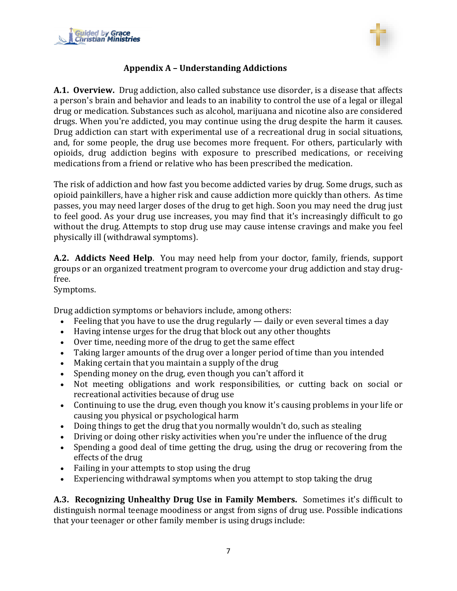<span id="page-7-0"></span>



## **Appendix A – Understanding Addictions**

**A.1. Overview.** Drug addiction, also called substance use disorder, is a disease that affects a person's brain and behavior and leads to an inability to control the use of a legal or illegal drug or medication. Substances such as alcohol, marijuana and nicotine also are considered drugs. When you're addicted, you may continue using the drug despite the harm it causes. Drug addiction can start with experimental use of a recreational drug in social situations, and, for some people, the drug use becomes more frequent. For others, particularly with opioids, drug addiction begins with exposure to prescribed medications, or receiving medications from a friend or relative who has been prescribed the medication.

The risk of addiction and how fast you become addicted varies by drug. Some drugs, such as opioid painkillers, have a higher risk and cause addiction more quickly than others. As time passes, you may need larger doses of the drug to get high. Soon you may need the drug just to feel good. As your drug use increases, you may find that it's increasingly difficult to go without the drug. Attempts to stop drug use may cause intense cravings and make you feel physically ill (withdrawal symptoms).

**A.2. Addicts Need Help**. You may need help from your doctor, family, friends, support groups or an organized treatment program to overcome your drug addiction and stay drugfree.

#### Symptoms.

Drug addiction symptoms or behaviors include, among others:

- Feeling that you have to use the drug regularly daily or even several times a day
- Having intense urges for the drug that block out any other thoughts
- Over time, needing more of the drug to get the same effect
- Taking larger amounts of the drug over a longer period of time than you intended
- Making certain that you maintain a supply of the drug
- Spending money on the drug, even though you can't afford it
- Not meeting obligations and work responsibilities, or cutting back on social or recreational activities because of drug use
- Continuing to use the drug, even though you know it's causing problems in your life or causing you physical or psychological harm
- Doing things to get the drug that you normally wouldn't do, such as stealing
- Driving or doing other risky activities when you're under the influence of the drug
- Spending a good deal of time getting the drug, using the drug or recovering from the effects of the drug
- Failing in your attempts to stop using the drug
- Experiencing withdrawal symptoms when you attempt to stop taking the drug

**A.3. Recognizing Unhealthy Drug Use in Family Members.** Sometimes it's difficult to distinguish normal teenage moodiness or angst from signs of drug use. Possible indications that your teenager or other family member is using drugs include: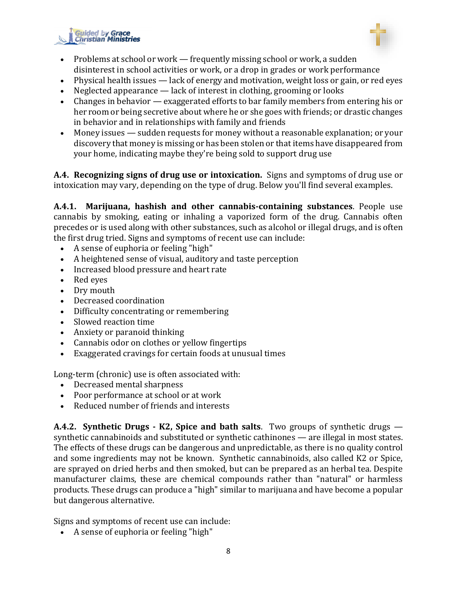



- Problems at school or work frequently missing school or work, a sudden disinterest in school activities or work, or a drop in grades or work performance
- Physical health issues lack of energy and motivation, weight loss or gain, or red eyes
- Neglected appearance lack of interest in clothing, grooming or looks
- Changes in behavior exaggerated efforts to bar family members from entering his or her room or being secretive about where he or she goes with friends; or drastic changes in behavior and in relationships with family and friends
- Money issues sudden requests for money without a reasonable explanation; or your discovery that money is missing or has been stolen or that items have disappeared from your home, indicating maybe they're being sold to support drug use

**A.4. Recognizing signs of drug use or intoxication.** Signs and symptoms of drug use or intoxication may vary, depending on the type of drug. Below you'll find several examples.

**A.4.1. Marijuana, hashish and other cannabis-containing substances**. People use cannabis by smoking, eating or inhaling a vaporized form of the drug. Cannabis often precedes or is used along with other substances, such as alcohol or illegal drugs, and is often the first drug tried. Signs and symptoms of recent use can include:

- A sense of euphoria or feeling "high"
- A heightened sense of visual, auditory and taste perception
- Increased blood pressure and heart rate
- Red eyes
- Dry mouth
- Decreased coordination
- Difficulty concentrating or remembering
- Slowed reaction time
- Anxiety or paranoid thinking
- Cannabis odor on clothes or yellow fingertips
- Exaggerated cravings for certain foods at unusual times

Long-term (chronic) use is often associated with:

- Decreased mental sharpness
- Poor performance at school or at work
- Reduced number of friends and interests

**A.4.2. Synthetic Drugs - K2, Spice and bath salts**. Two groups of synthetic drugs synthetic cannabinoids and substituted or synthetic cathinones — are illegal in most states. The effects of these drugs can be dangerous and unpredictable, as there is no quality control and some ingredients may not be known. Synthetic cannabinoids, also called K2 or Spice, are sprayed on dried herbs and then smoked, but can be prepared as an herbal tea. Despite manufacturer claims, these are chemical compounds rather than "natural" or harmless products. These drugs can produce a "high" similar to marijuana and have become a popular but dangerous alternative.

Signs and symptoms of recent use can include:

• A sense of euphoria or feeling "high"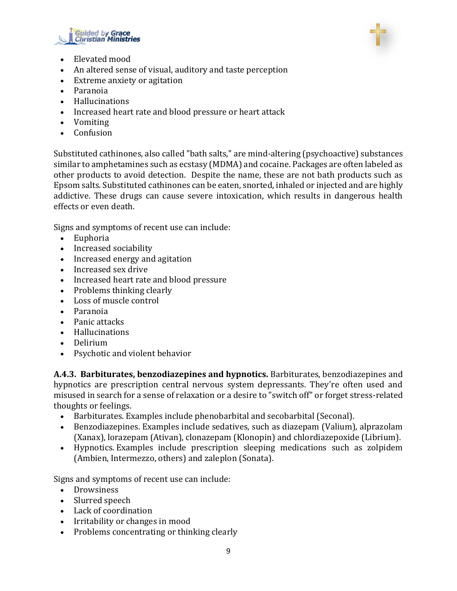



- Elevated mood
- An altered sense of visual, auditory and taste perception
- Extreme anxiety or agitation
- Paranoia
- Hallucinations
- Increased heart rate and blood pressure or heart attack
- Vomiting
- Confusion

Substituted cathinones, also called "bath salts," are mind-altering (psychoactive) substances similar to amphetamines such as ecstasy (MDMA) and cocaine. Packages are often labeled as other products to avoid detection. Despite the name, these are not bath products such as Epsom salts. Substituted cathinones can be eaten, snorted, inhaled or injected and are highly addictive. These drugs can cause severe intoxication, which results in dangerous health effects or even death.

Signs and symptoms of recent use can include:

- Euphoria
- Increased sociability
- Increased energy and agitation
- Increased sex drive
- Increased heart rate and blood pressure
- Problems thinking clearly
- Loss of muscle control
- Paranoia
- Panic attacks
- Hallucinations
- Delirium
- Psychotic and violent behavior

**A.4.3. Barbiturates, benzodiazepines and hypnotics.** Barbiturates, benzodiazepines and hypnotics are prescription central nervous system depressants. They're often used and misused in search for a sense of relaxation or a desire to "switch off" or forget stress-related thoughts or feelings.

- Barbiturates. Examples include phenobarbital and secobarbital (Seconal).
- Benzodiazepines. Examples include sedatives, such as diazepam (Valium), alprazolam (Xanax), lorazepam (Ativan), clonazepam (Klonopin) and chlordiazepoxide (Librium).
- Hypnotics. Examples include prescription sleeping medications such as zolpidem (Ambien, Intermezzo, others) and zaleplon (Sonata).

Signs and symptoms of recent use can include:

- Drowsiness
- Slurred speech
- Lack of coordination
- Irritability or changes in mood
- Problems concentrating or thinking clearly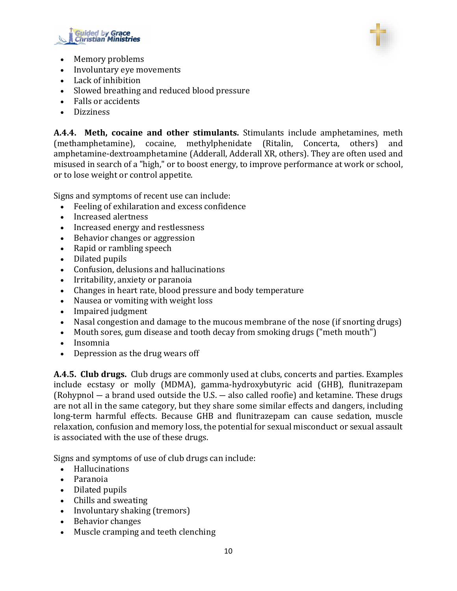



- Memory problems
- Involuntary eye movements
- Lack of inhibition
- Slowed breathing and reduced blood pressure
- Falls or accidents
- Dizziness

**A.4.4. Meth, cocaine and other stimulants.** Stimulants include amphetamines, meth (methamphetamine), cocaine, methylphenidate (Ritalin, Concerta, others) and amphetamine-dextroamphetamine (Adderall, Adderall XR, others). They are often used and misused in search of a "high," or to boost energy, to improve performance at work or school, or to lose weight or control appetite.

Signs and symptoms of recent use can include:

- Feeling of exhilaration and excess confidence
- Increased alertness
- Increased energy and restlessness
- Behavior changes or aggression
- Rapid or rambling speech
- Dilated pupils
- Confusion, delusions and hallucinations
- Irritability, anxiety or paranoia
- Changes in heart rate, blood pressure and body temperature
- Nausea or vomiting with weight loss
- Impaired judgment
- Nasal congestion and damage to the mucous membrane of the nose (if snorting drugs)
- Mouth sores, gum disease and tooth decay from smoking drugs ("meth mouth")
- Insomnia
- Depression as the drug wears off

**A.4.5. Club drugs.** Club drugs are commonly used at clubs, concerts and parties. Examples include ecstasy or molly (MDMA), gamma-hydroxybutyric acid (GHB), flunitrazepam (Rohypnol ― a brand used outside the U.S. ― also called roofie) and ketamine. These drugs are not all in the same category, but they share some similar effects and dangers, including long-term harmful effects. Because GHB and flunitrazepam can cause sedation, muscle relaxation, confusion and memory loss, the potential for sexual misconduct or sexual assault is associated with the use of these drugs.

Signs and symptoms of use of club drugs can include:

- Hallucinations
- Paranoia
- Dilated pupils
- Chills and sweating
- Involuntary shaking (tremors)
- Behavior changes
- Muscle cramping and teeth clenching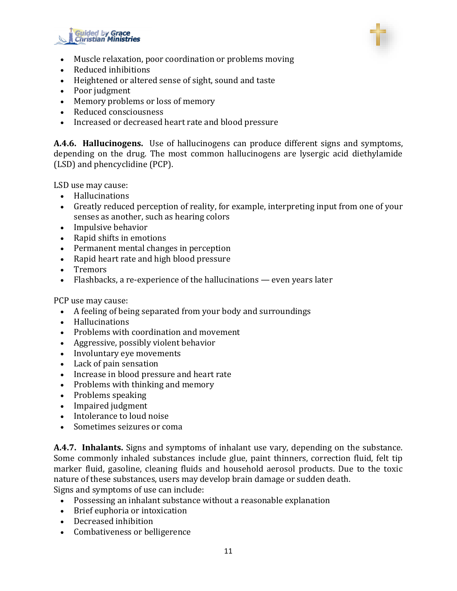



- Muscle relaxation, poor coordination or problems moving
- Reduced inhibitions
- Heightened or altered sense of sight, sound and taste
- Poor judgment
- Memory problems or loss of memory
- Reduced consciousness
- Increased or decreased heart rate and blood pressure

**A.4.6. Hallucinogens.** Use of hallucinogens can produce different signs and symptoms, depending on the drug. The most common hallucinogens are lysergic acid diethylamide (LSD) and phencyclidine (PCP).

LSD use may cause:

- Hallucinations
- Greatly reduced perception of reality, for example, interpreting input from one of your senses as another, such as hearing colors
- Impulsive behavior
- Rapid shifts in emotions
- Permanent mental changes in perception
- Rapid heart rate and high blood pressure
- Tremors
- Flashbacks, a re-experience of the hallucinations even years later

PCP use may cause:

- A feeling of being separated from your body and surroundings
- Hallucinations
- Problems with coordination and movement
- Aggressive, possibly violent behavior
- Involuntary eye movements
- Lack of pain sensation
- Increase in blood pressure and heart rate
- Problems with thinking and memory
- Problems speaking
- Impaired judgment
- Intolerance to loud noise
- Sometimes seizures or coma

**A.4.7. Inhalants.** Signs and symptoms of inhalant use vary, depending on the substance. Some commonly inhaled substances include glue, paint thinners, correction fluid, felt tip marker fluid, gasoline, cleaning fluids and household aerosol products. Due to the toxic nature of these substances, users may develop brain damage or sudden death. Signs and symptoms of use can include:

- Possessing an inhalant substance without a reasonable explanation
- Brief euphoria or intoxication
- Decreased inhibition
- Combativeness or belligerence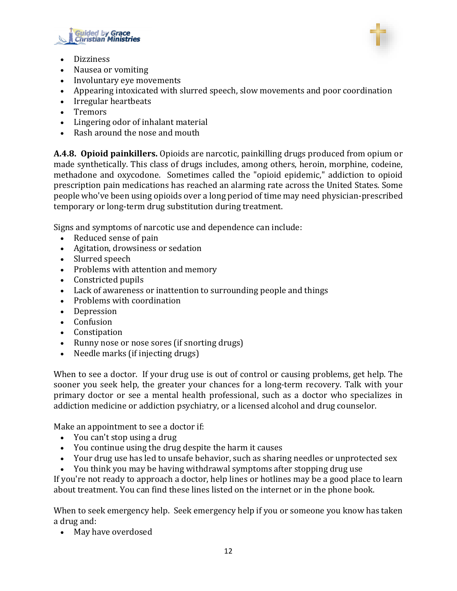



- Dizziness
- Nausea or vomiting
- Involuntary eye movements
- Appearing intoxicated with slurred speech, slow movements and poor coordination
- Irregular heartbeats
- Tremors
- Lingering odor of inhalant material
- Rash around the nose and mouth

**A.4.8. Opioid painkillers.** Opioids are narcotic, painkilling drugs produced from opium or made synthetically. This class of drugs includes, among others, heroin, morphine, codeine, methadone and oxycodone. Sometimes called the "opioid epidemic," addiction to opioid prescription pain medications has reached an alarming rate across the United States. Some people who've been using opioids over a long period of time may need physician-prescribed temporary or long-term drug substitution during treatment.

Signs and symptoms of narcotic use and dependence can include:

- Reduced sense of pain
- Agitation, drowsiness or sedation
- Slurred speech
- Problems with attention and memory
- Constricted pupils
- Lack of awareness or inattention to surrounding people and things
- Problems with coordination
- Depression
- Confusion
- Constipation
- Runny nose or nose sores (if snorting drugs)
- Needle marks (if injecting drugs)

When to see a doctor. If your drug use is out of control or causing problems, get help. The sooner you seek help, the greater your chances for a long-term recovery. Talk with your primary doctor or see a mental health professional, such as a doctor who specializes in addiction medicine or addiction psychiatry, or a licensed alcohol and drug counselor.

Make an appointment to see a doctor if:

- You can't stop using a drug
- You continue using the drug despite the harm it causes
- Your drug use has led to unsafe behavior, such as sharing needles or unprotected sex
- You think you may be having withdrawal symptoms after stopping drug use

If you're not ready to approach a doctor, help lines or hotlines may be a good place to learn about treatment. You can find these lines listed on the internet or in the phone book.

When to seek emergency help. Seek emergency help if you or someone you know has taken a drug and:

• May have overdosed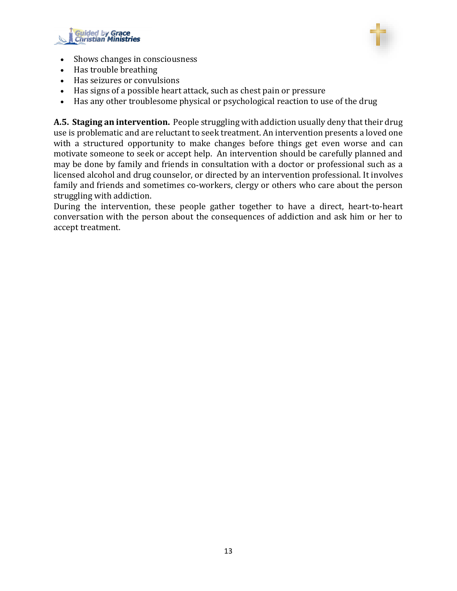



- Shows changes in consciousness
- Has trouble breathing
- Has seizures or convulsions
- Has signs of a possible heart attack, such as chest pain or pressure
- Has any other troublesome physical or psychological reaction to use of the drug

**A.5. Staging an intervention.** People struggling with addiction usually deny that their drug use is problematic and are reluctant to seek treatment. An intervention presents a loved one with a structured opportunity to make changes before things get even worse and can motivate someone to seek or accept help. An intervention should be carefully planned and may be done by family and friends in consultation with a doctor or professional such as a licensed alcohol and drug counselor, or directed by an intervention professional. It involves family and friends and sometimes co-workers, clergy or others who care about the person struggling with addiction.

During the intervention, these people gather together to have a direct, heart-to-heart conversation with the person about the consequences of addiction and ask him or her to accept treatment.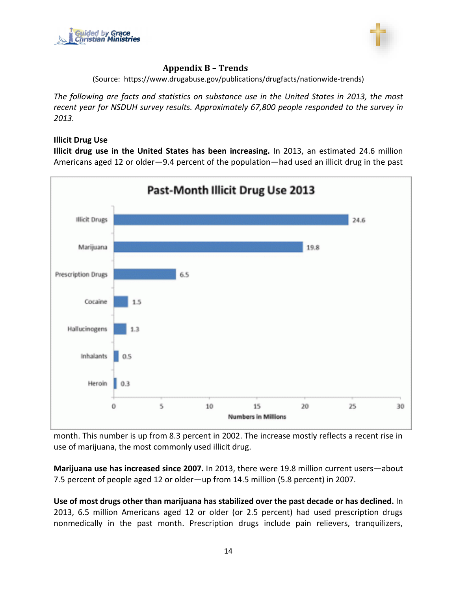<span id="page-14-0"></span>



#### **Appendix B – Trends**

(Source: https://www.drugabuse.gov/publications/drugfacts/nationwide-trends)

*The following are facts and statistics on substance use in the United States in 2013, the most recent year for NSDUH survey results. Approximately 67,800 people responded to the survey in 2013.*

#### **Illicit Drug Use**

**Illicit drug use in the United States has been increasing.** In 2013, an estimated 24.6 million Americans aged 12 or older—9.4 percent of the population—had used an illicit drug in the past



month. This number is up from 8.3 percent in 2002. The increase mostly reflects a recent rise in use of marijuana, the most commonly used illicit drug.

**Marijuana use has increased since 2007.** In 2013, there were 19.8 million current users—about 7.5 percent of people aged 12 or older—up from 14.5 million (5.8 percent) in 2007.

**Use of most drugs other than marijuana has stabilized over the past decade or has declined.** In 2013, 6.5 million Americans aged 12 or older (or 2.5 percent) had used prescription drugs nonmedically in the past month. Prescription drugs include pain relievers, tranquilizers,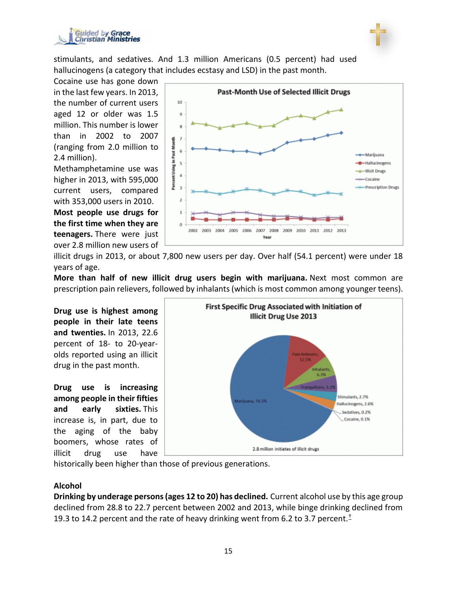



stimulants, and sedatives. And 1.3 million Americans (0.5 percent) had used hallucinogens (a category that includes ecstasy and LSD) in the past month.

Cocaine use has gone down in the last few years. In 2013, the number of current users aged 12 or older was 1.5 million. This number is lower than in 2002 to 2007 (ranging from 2.0 million to 2.4 million).

Methamphetamine use was higher in 2013, with 595,000 current users, compared with 353,000 users in 2010. **Most people use drugs for the first time when they are teenagers.** There were just over 2.8 million new users of



illicit drugs in 2013, or about 7,800 new users per day. Over half (54.1 percent) were under 18 years of age.

**More than half of new illicit drug users begin with marijuana.** Next most common are prescription pain relievers, followed by inhalants (which is most common among younger teens).

**Drug use is highest among people in their late teens and twenties.** In 2013, 22.6 percent of 18- to 20-yearolds reported using an illicit drug in the past month.

**Drug use is increasing among people in their fifties and early sixties.** This increase is, in part, due to the aging of the baby boomers, whose rates of illicit drug use have



historically been higher than those of previous generations.

#### **Alcohol**

**Drinking by underage persons(ages 12 to 20) has declined.** Current alcohol use by this age group declined from 28.8 to 22.7 percent between 2002 and 2013, while binge drinking declined from 19.3 to 14.2 percent and the rate of heavy drinking went from 6.2 to 3.7 percent.[†](https://www.drugabuse.gov/publications/drugfacts/nationwide-trends#cross)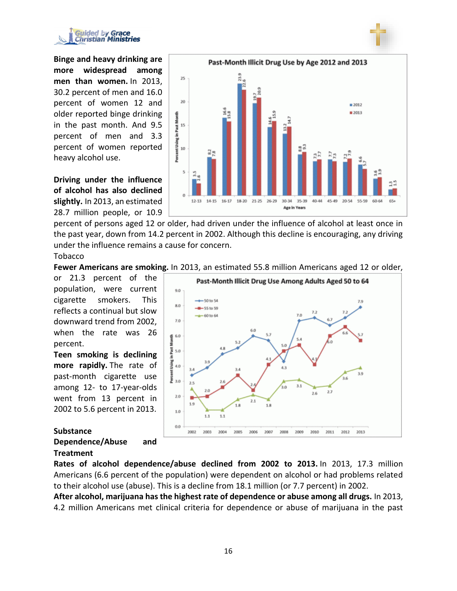



Past-Month Illicit Drug Use by Age 2012 and 2013 23.9 25 20  $2012$ 로 ■2013 Percent Using in Past Mo 15 10  $\frac{2}{3}$ 5  $\theta$  $12 - 13$ 14-15 16-17 18-20 21-25 26-29 30-34 35-39 40-44 45-49 20-54 55-59 60-64 654 Age in Years

**Driving under the influence of alcohol has also declined slightly.** In 2013, an estimated 28.7 million people, or 10.9

percent of persons aged 12 or older, had driven under the influence of alcohol at least once in the past year, down from 14.2 percent in 2002. Although this decline is encouraging, any driving under the influence remains a cause for concern.

#### Tobacco

**Fewer Americans are smoking.** In 2013, an estimated 55.8 million Americans aged 12 or older,

or 21.3 percent of the population, were current cigarette smokers. This reflects a continual but slow downward trend from 2002, when the rate was 26 percent.

**Teen smoking is declining more rapidly.** The rate of past-month cigarette use among 12- to 17-year-olds went from 13 percent in 2002 to 5.6 percent in 2013.

# **Substance**

## **Dependence/Abuse and Treatment**

**Rates of alcohol dependence/abuse declined from 2002 to 2013.** In 2013, 17.3 million Americans (6.6 percent of the population) were dependent on alcohol or had problems related to their alcohol use (abuse). This is a decline from 18.1 million (or 7.7 percent) in 2002.

**After alcohol, marijuana has the highest rate of dependence or abuse among all drugs.** In 2013, 4.2 million Americans met clinical criteria for dependence or abuse of marijuana in the past